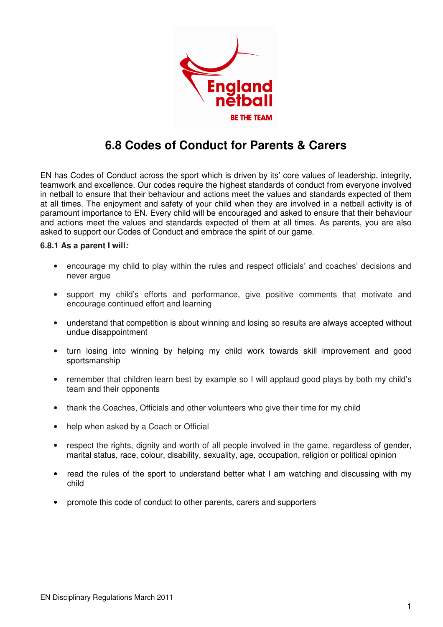

## **6.8 Codes of Conduct for Parents & Carers**

EN has Codes of Conduct across the sport which is driven by its' core values of leadership, integrity, teamwork and excellence. Our codes require the highest standards of conduct from everyone involved in netball to ensure that their behaviour and actions meet the values and standards expected of them at all times. The enjoyment and safety of your child when they are involved in a netball activity is of paramount importance to EN. Every child will be encouraged and asked to ensure that their behaviour and actions meet the values and standards expected of them at all times. As parents, you are also asked to support our Codes of Conduct and embrace the spirit of our game.

## **6.8.1 As a parent I will:**

- encourage my child to play within the rules and respect officials' and coaches' decisions and never arque
- support my child's efforts and performance, give positive comments that motivate and encourage continued effort and learning
- understand that competition is about winning and losing so results are always accepted without undue disappointment
- turn losing into winning by helping my child work towards skill improvement and good sportsmanship
- remember that children learn best by example so I will applaud good plays by both my child's team and their opponents
- thank the Coaches, Officials and other volunteers who give their time for my child
- help when asked by a Coach or Official
- respect the rights, dignity and worth of all people involved in the game, regardless of gender, marital status, race, colour, disability, sexuality, age, occupation, religion or political opinion
- read the rules of the sport to understand better what I am watching and discussing with my child
- promote this code of conduct to other parents, carers and supporters